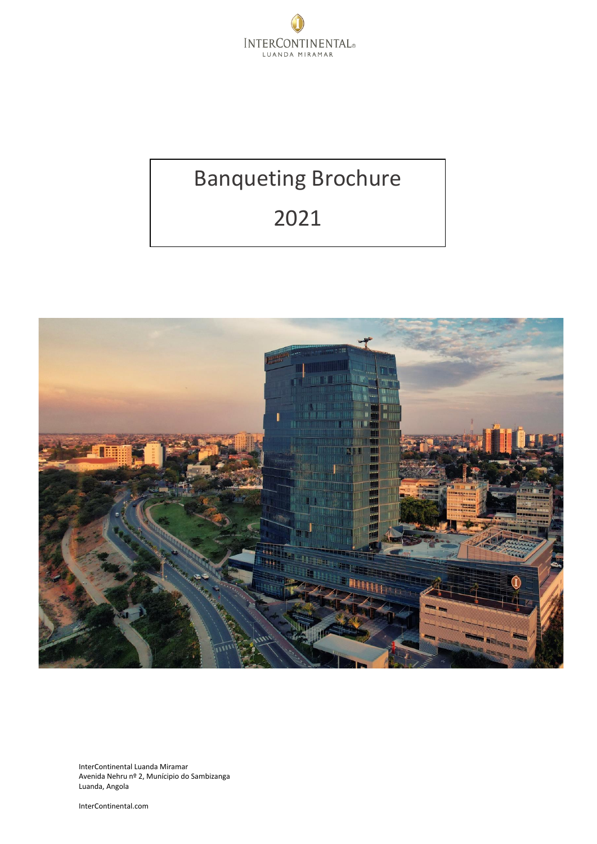

# Banqueting Brochure

# 2021



InterContinental Luanda Miramar Avenida Nehru nº 2, Munícipio do Sambizanga Luanda, Angola

InterContinental.com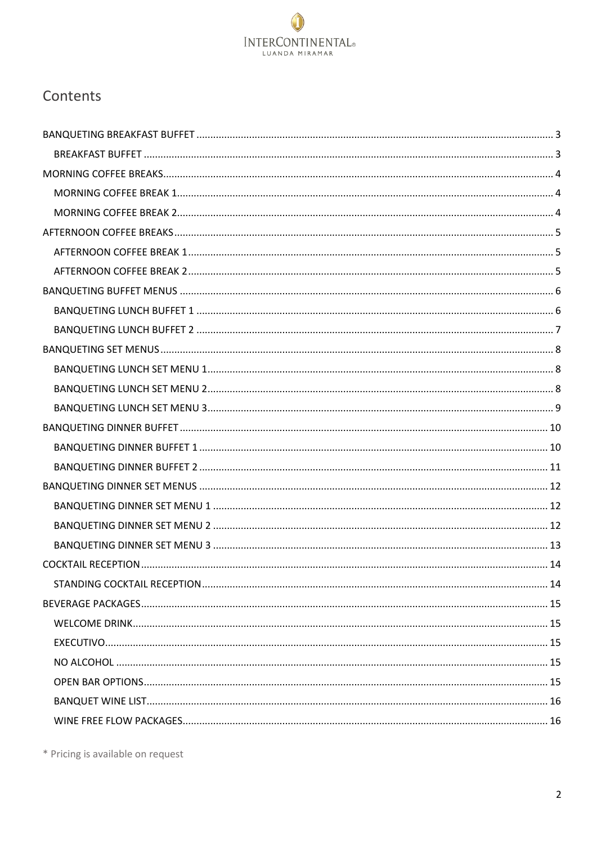

# Contents

\* Pricing is available on request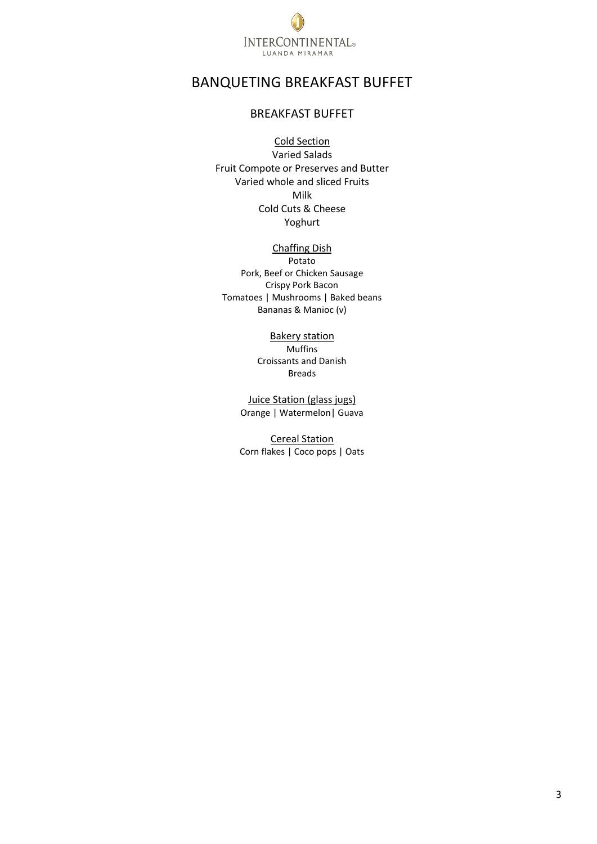

# <span id="page-2-1"></span><span id="page-2-0"></span>BANQUETING BREAKFAST BUFFET

# BREAKFAST BUFFET

## Cold Section

Varied Salads Fruit Compote or Preserves and Butter Varied whole and sliced Fruits Milk Cold Cuts & Cheese Yoghurt

#### Chaffing Dish

Potato Pork, Beef or Chicken Sausage Crispy Pork Bacon Tomatoes | Mushrooms | Baked beans Bananas & Manioc (v)

# Bakery station

Muffins Croissants and Danish Breads

Juice Station (glass jugs) Orange | Watermelon| Guava

Cereal Station Corn flakes | Coco pops | Oats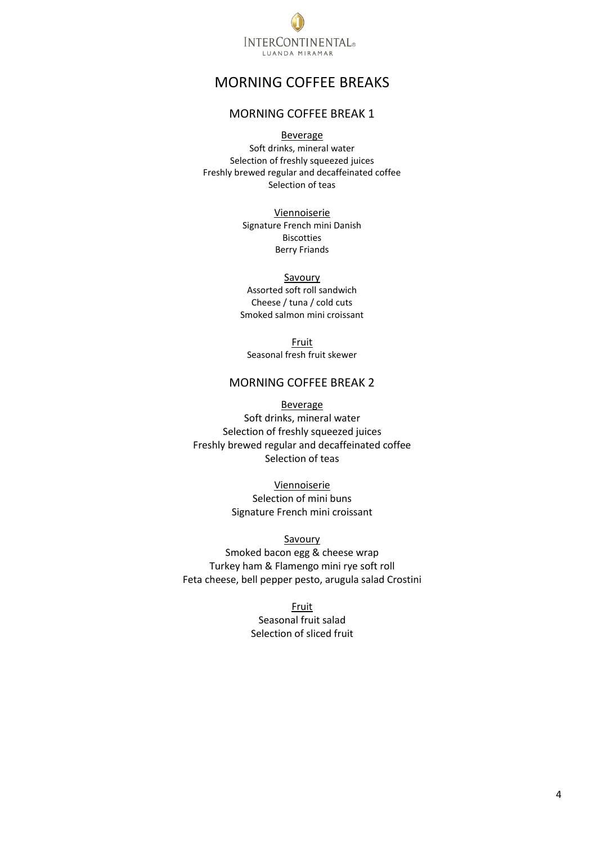

# <span id="page-3-0"></span>MORNING COFFEE BREAKS

# MORNING COFFEE BREAK 1

Beverage

<span id="page-3-1"></span>Soft drinks, mineral water Selection of freshly squeezed juices Freshly brewed regular and decaffeinated coffee Selection of teas

> Viennoiserie Signature French mini Danish Biscotties Berry Friands

> > Savoury

Assorted soft roll sandwich Cheese / tuna / cold cuts Smoked salmon mini croissant

Fruit Seasonal fresh fruit skewer

## MORNING COFFEE BREAK 2

<span id="page-3-2"></span>Beverage Soft drinks, mineral water Selection of freshly squeezed juices Freshly brewed regular and decaffeinated coffee Selection of teas

> Viennoiserie Selection of mini buns Signature French mini croissant

Savoury Smoked bacon egg & cheese wrap Turkey ham & Flamengo mini rye soft roll Feta cheese, bell pepper pesto, arugula salad Crostini

> Fruit Seasonal fruit salad Selection of sliced fruit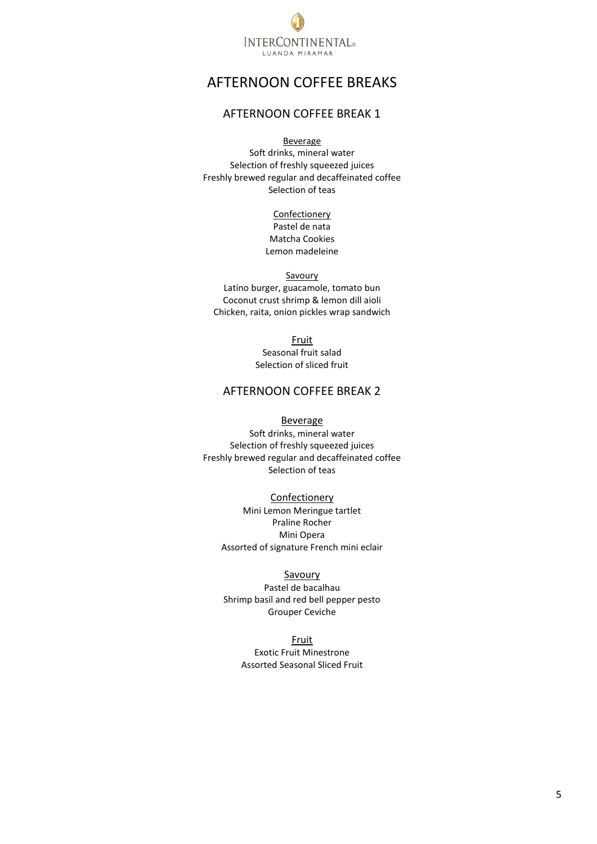

# <span id="page-4-0"></span>AFTERNOON COFFEE BREAKS

# AFTERNOON COFFEE BREAK 1

Beverage

<span id="page-4-1"></span>Soft drinks, mineral water Selection of freshly squeezed juices Freshly brewed regular and decaffeinated coffee Selection of teas

> Confectionery Pastel de nata Matcha Cookies Lemon madeleine

Savoury Latino burger, guacamole, tomato bun Coconut crust shrimp & lemon dill aioli Chicken, raita, onion pickles wrap sandwich

> Fruit Seasonal fruit salad Selection of sliced fruit

# AFTERNOON COFFEE BREAK 2

#### Beverage

<span id="page-4-2"></span>Soft drinks, mineral water Selection of freshly squeezed juices Freshly brewed regular and decaffeinated coffee Selection of teas

#### Confectionery

Mini Lemon Meringue tartlet Praline Rocher Mini Opera Assorted of signature French mini eclair

#### **Savoury**

Pastel de bacalhau Shrimp basil and red bell pepper pesto Grouper Ceviche

Fruit

Exotic Fruit Minestrone Assorted Seasonal Sliced Fruit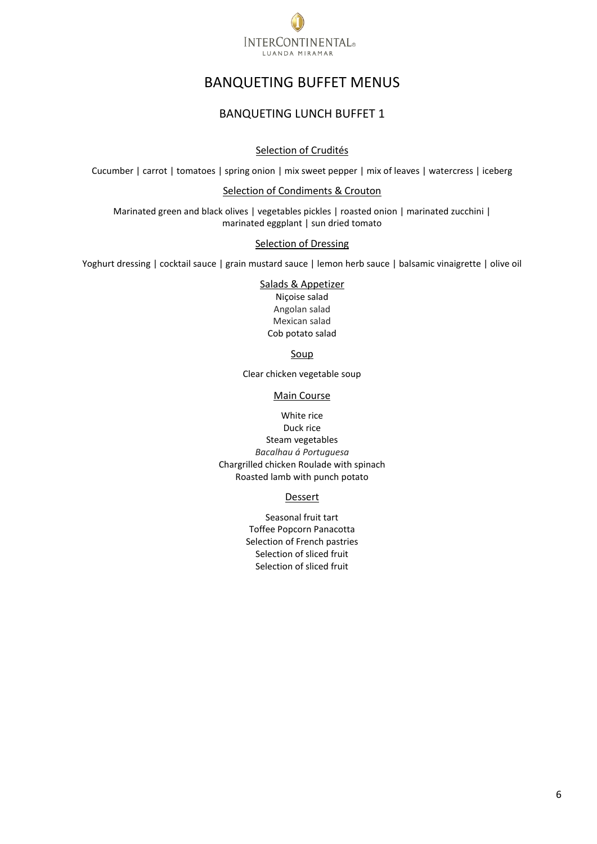

# BANQUETING BUFFET MENUS

# BANQUETING LUNCH BUFFET 1

## Selection of Crudités

<span id="page-5-1"></span><span id="page-5-0"></span>Cucumber | carrot | tomatoes | spring onion | mix sweet pepper | mix of leaves | watercress | iceberg

#### Selection of Condiments & Crouton

Marinated green and black olives | vegetables pickles | roasted onion | marinated zucchini | marinated eggplant | sun dried tomato

#### Selection of Dressing

Yoghurt dressing | cocktail sauce | grain mustard sauce | lemon herb sauce | balsamic vinaigrette | olive oil

Salads & Appetizer Niçoise salad Angolan salad Mexican salad Cob potato salad

Soup

Clear chicken vegetable soup

#### Main Course

White rice Duck rice Steam vegetables *Bacalhau á Portuguesa* Chargrilled chicken Roulade with spinach Roasted lamb with punch potato

#### **Dessert**

Seasonal fruit tart Toffee Popcorn Panacotta Selection of French pastries Selection of sliced fruit Selection of sliced fruit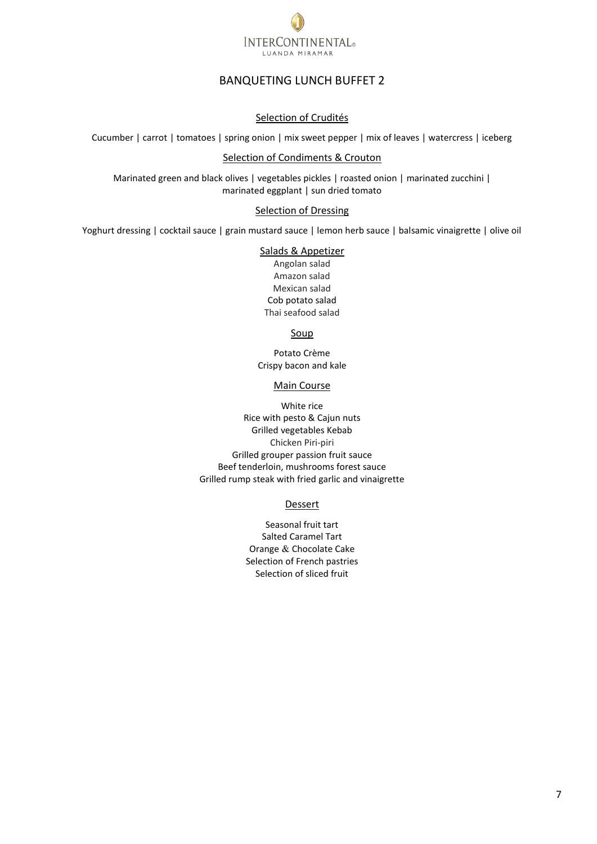

# BANQUETING LUNCH BUFFET 2

#### Selection of Crudités

<span id="page-6-0"></span>Cucumber | carrot | tomatoes | spring onion | mix sweet pepper | mix of leaves | watercress | iceberg

#### Selection of Condiments & Crouton

Marinated green and black olives | vegetables pickles | roasted onion | marinated zucchini | marinated eggplant | sun dried tomato

#### Selection of Dressing

Yoghurt dressing | cocktail sauce | grain mustard sauce | lemon herb sauce | balsamic vinaigrette | olive oil

#### Salads & Appetizer

Angolan salad Amazon salad Mexican salad Cob potato salad Thai seafood salad

Soup

Potato Crème Crispy bacon and kale

#### Main Course

White rice Rice with pesto & Cajun nuts Grilled vegetables Kebab Chicken Piri-piri Grilled grouper passion fruit sauce Beef tenderloin, mushrooms forest sauce Grilled rump steak with fried garlic and vinaigrette

#### Dessert

Seasonal fruit tart Salted Caramel Tart Orange & Chocolate Cake Selection of French pastries Selection of sliced fruit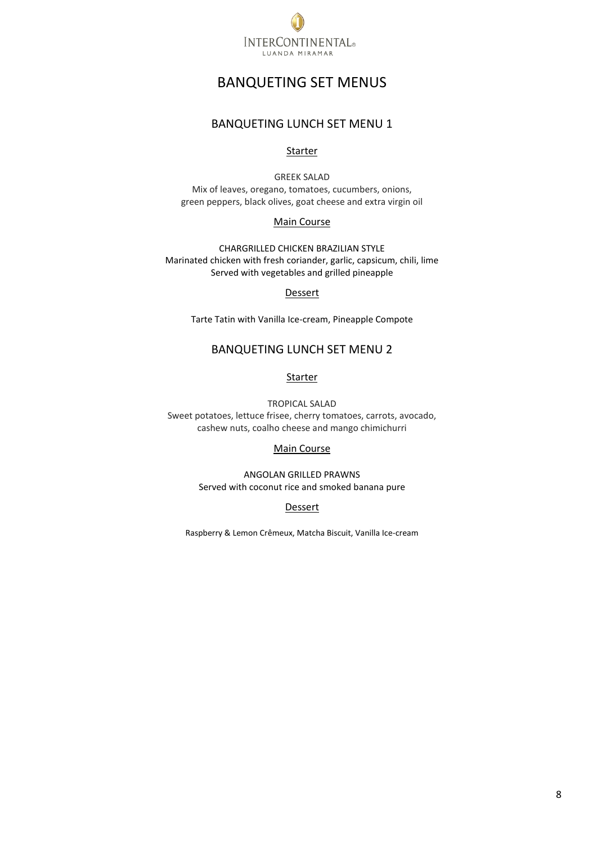

# BANQUETING SET MENUS

# BANQUETING LUNCH SET MENU 1

#### Starter

<span id="page-7-1"></span><span id="page-7-0"></span>GREEK SALAD Mix of leaves, oregano, tomatoes, cucumbers, onions, green peppers, black olives, goat cheese and extra virgin oil

#### Main Course

CHARGRILLED CHICKEN BRAZILIAN STYLE Marinated chicken with fresh coriander, garlic, capsicum, chili, lime Served with vegetables and grilled pineapple

#### Dessert

Tarte Tatin with Vanilla Ice-cream, Pineapple Compote

# BANQUETING LUNCH SET MENU 2

## Starter

<span id="page-7-2"></span>TROPICAL SALAD Sweet potatoes, lettuce frisee, cherry tomatoes, carrots, avocado, cashew nuts, coalho cheese and mango chimichurri

#### Main Course

ANGOLAN GRILLED PRAWNS Served with coconut rice and smoked banana pure

#### Dessert

Raspberry & Lemon Crêmeux, Matcha Biscuit, Vanilla Ice-cream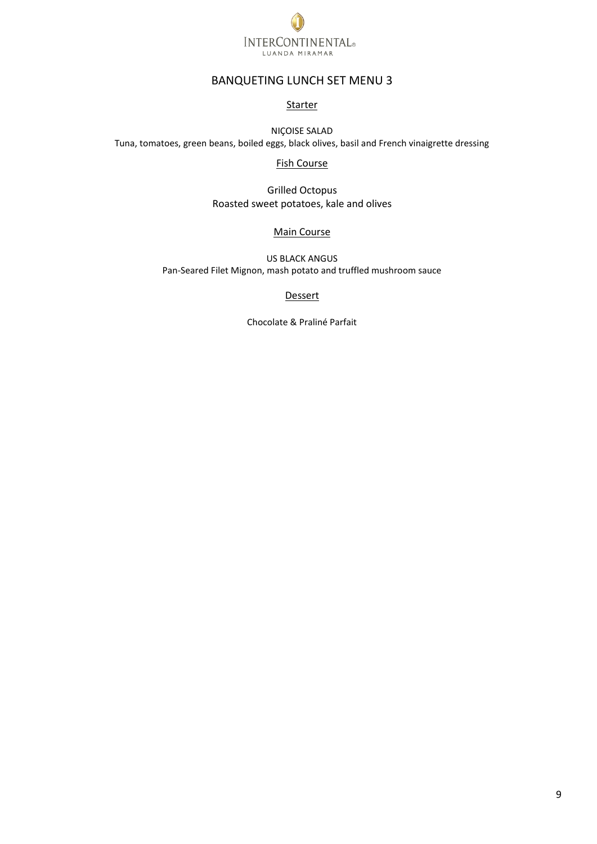

# BANQUETING LUNCH SET MENU 3

#### **Starter**

<span id="page-8-0"></span>NIÇOISE SALAD Tuna, tomatoes, green beans, boiled eggs, black olives, basil and French vinaigrette dressing

#### Fish Course

Grilled Octopus Roasted sweet potatoes, kale and olives

#### Main Course

US BLACK ANGUS Pan-Seared Filet Mignon, mash potato and truffled mushroom sauce

#### **Dessert**

Chocolate & Praliné Parfait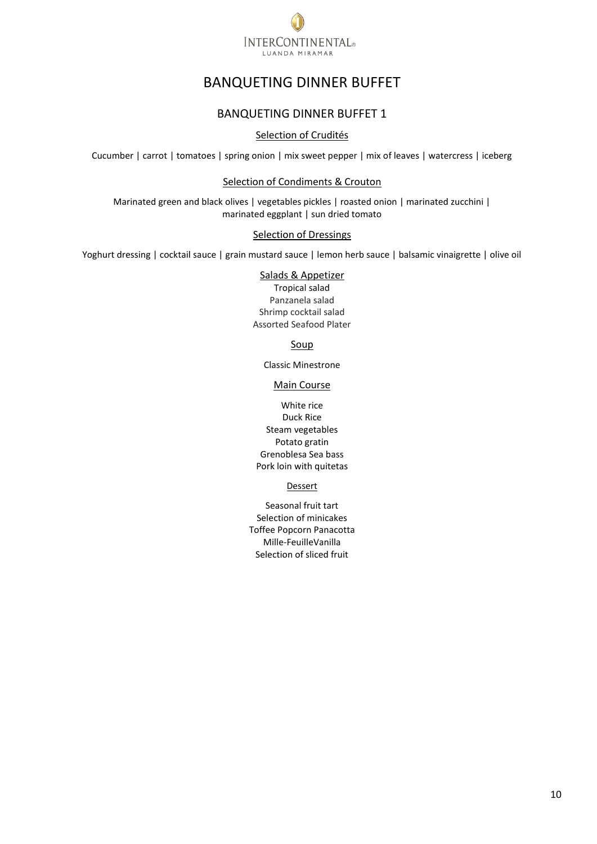

# BANQUETING DINNER BUFFET

# BANQUETING DINNER BUFFET 1

## Selection of Crudités

<span id="page-9-1"></span><span id="page-9-0"></span>Cucumber | carrot | tomatoes | spring onion | mix sweet pepper | mix of leaves | watercress | iceberg

## Selection of Condiments & Crouton

Marinated green and black olives | vegetables pickles | roasted onion | marinated zucchini | marinated eggplant | sun dried tomato

#### Selection of Dressings

Yoghurt dressing | cocktail sauce | grain mustard sauce | lemon herb sauce | balsamic vinaigrette | olive oil

#### Salads & Appetizer

Tropical salad Panzanela salad Shrimp cocktail salad Assorted Seafood Plater

## Soup

Classic Minestrone

#### Main Course

White rice Duck Rice Steam vegetables Potato gratin Grenoblesa Sea bass Pork loin with quitetas

#### Dessert

Seasonal fruit tart Selection of minicakes Toffee Popcorn Panacotta Mille-FeuilleVanilla Selection of sliced fruit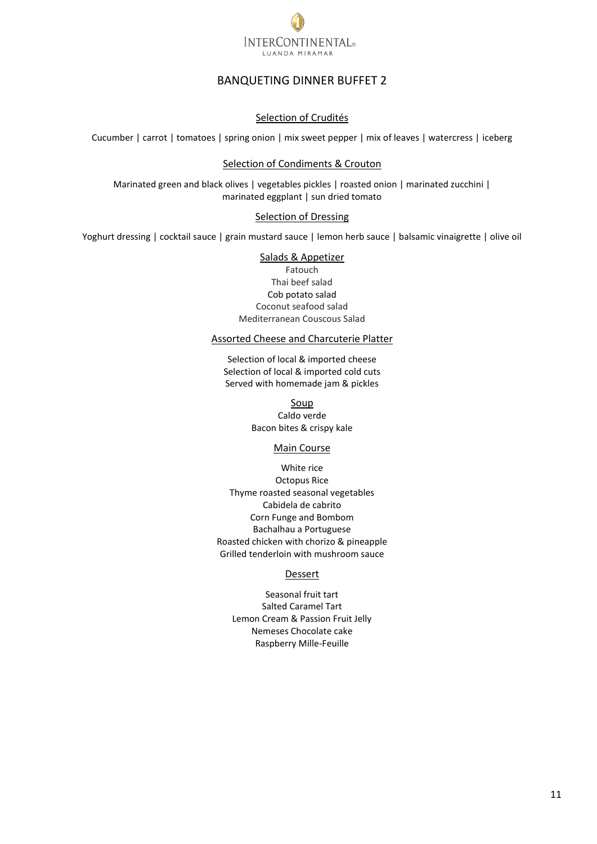

# BANQUETING DINNER BUFFET 2

#### Selection of Crudités

<span id="page-10-0"></span>Cucumber | carrot | tomatoes | spring onion | mix sweet pepper | mix of leaves | watercress | iceberg

#### Selection of Condiments & Crouton

Marinated green and black olives | vegetables pickles | roasted onion | marinated zucchini | marinated eggplant | sun dried tomato

#### Selection of Dressing

Yoghurt dressing | cocktail sauce | grain mustard sauce | lemon herb sauce | balsamic vinaigrette | olive oil

#### Salads & Appetizer

Fatouch Thai beef salad Cob potato salad Coconut seafood salad Mediterranean Couscous Salad

#### Assorted Cheese and Charcuterie Platter

Selection of local & imported cheese Selection of local & imported cold cuts Served with homemade jam & pickles

> Soup [Caldo verde](https://cookieandkate.com/classic-minestrone-soup-recipe/)  Bacon bites & crispy kale

#### Main Course

White rice Octopus Rice Thyme roasted seasonal vegetables Cabidela de cabrito Corn Funge and Bombom Bachalhau a Portuguese Roasted chicken with chorizo & pineapple Grilled tenderloin with mushroom sauce

#### Dessert

Seasonal fruit tart Salted Caramel Tart Lemon Cream & Passion Fruit Jelly Nemeses Chocolate cake Raspberry Mille-Feuille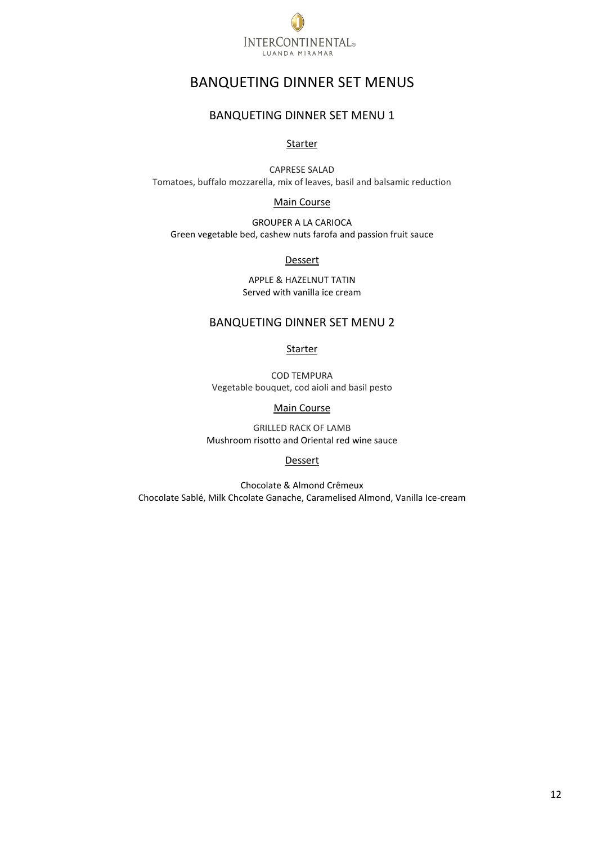

# BANQUETING DINNER SET MENUS

# BANQUETING DINNER SET MENU 1

#### Starter

<span id="page-11-1"></span><span id="page-11-0"></span>CAPRESE SALAD Tomatoes, buffalo mozzarella, mix of leaves, basil and balsamic reduction

Main Course

<span id="page-11-2"></span>GROUPER A LA CARIOCA Green vegetable bed, cashew nuts farofa and passion fruit sauce

Dessert

APPLE & HAZELNUT TATIN Served with vanilla ice cream

# BANQUETING DINNER SET MENU 2

Starter

COD TEMPURA Vegetable bouquet, cod aioli and basil pesto

#### Main Course

GRILLED RACK OF LAMB Mushroom risotto and Oriental red wine sauce

#### Dessert

Chocolate & Almond Crêmeux Chocolate Sablé, Milk Chcolate Ganache, Caramelised Almond, Vanilla Ice-cream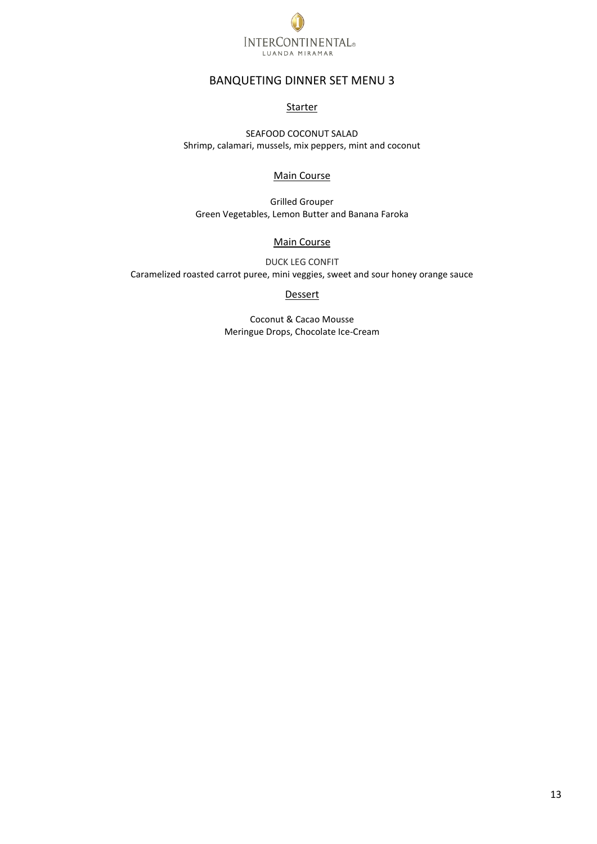

# BANQUETING DINNER SET MENU 3

#### **Starter**

<span id="page-12-0"></span>SEAFOOD COCONUT SALAD Shrimp, calamari, mussels, mix peppers, mint and coconut

#### Main Course

Grilled Grouper Green Vegetables, Lemon Butter and Banana Faroka

# Main Course

DUCK LEG CONFIT Caramelized roasted carrot puree, mini veggies, sweet and sour honey orange sauce

#### **Dessert**

Coconut & Cacao Mousse Meringue Drops, Chocolate Ice-Cream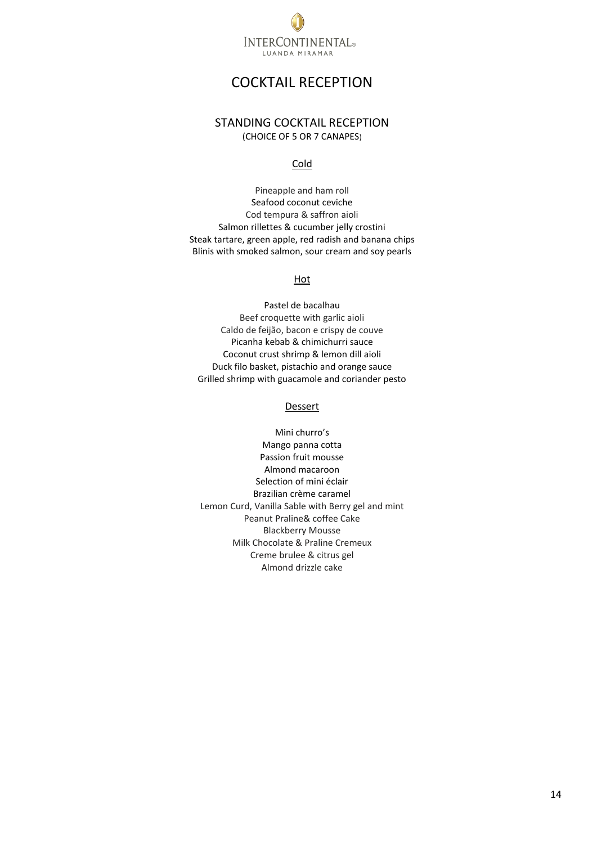

# COCKTAIL RECEPTION

# <span id="page-13-0"></span>STANDING COCKTAIL RECEPTION (CHOICE OF 5 OR 7 CANAPES)

Cold

<span id="page-13-1"></span>Pineapple and ham roll Seafood coconut ceviche Cod tempura & saffron aioli Salmon rillettes & cucumber jelly crostini Steak tartare, green apple, red radish and banana chips Blinis with smoked salmon, sour cream and soy pearls

## Hot

Pastel de bacalhau Beef croquette with garlic aioli Caldo de feijão, bacon e crispy de couve Picanha kebab & chimichurri sauce Coconut crust shrimp & lemon dill aioli Duck filo basket, pistachio and orange sauce Grilled shrimp with guacamole and coriander pesto

#### Dessert

Mini churro's Mango panna cotta Passion fruit mousse Almond macaroon Selection of mini éclair Brazilian crème caramel Lemon Curd, Vanilla Sable with Berry gel and mint Peanut Praline& coffee Cake Blackberry Mousse Milk Chocolate & Praline Cremeux Creme brulee & citrus gel Almond drizzle cake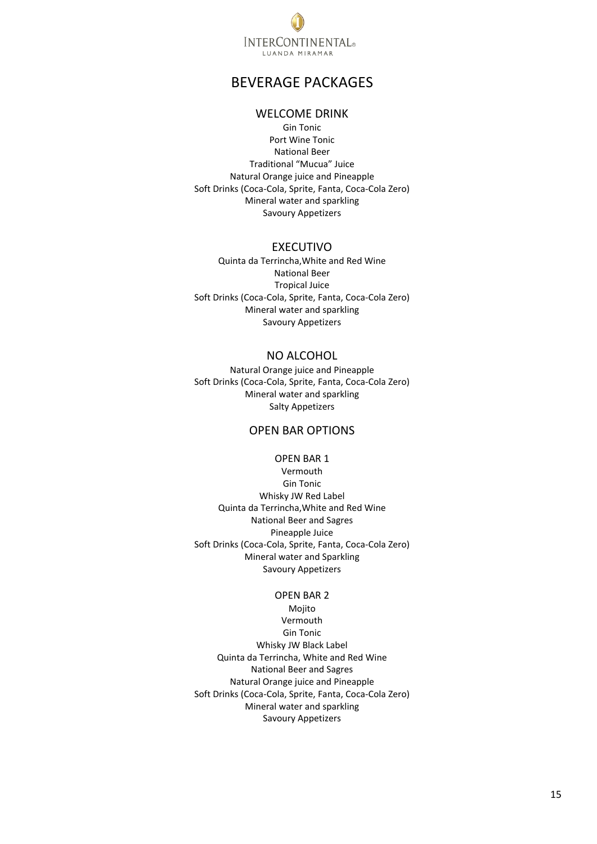

# BEVERAGE PACKAGES

# WELCOME DRINK

<span id="page-14-1"></span><span id="page-14-0"></span>Gin Tonic Port Wine Tonic National Beer Traditional "Mucua" Juice Natural Orange juice and Pineapple Soft Drinks (Coca-Cola, Sprite, Fanta, Coca-Cola Zero) Mineral water and sparkling Savoury Appetizers

#### EXECUTIVO

<span id="page-14-2"></span>Quinta da Terrincha,White and Red Wine National Beer Tropical Juice Soft Drinks (Coca-Cola, Sprite, Fanta, Coca-Cola Zero) Mineral water and sparkling Savoury Appetizers

## NO ALCOHOL

<span id="page-14-3"></span>Natural Orange juice and Pineapple Soft Drinks (Coca-Cola, Sprite, Fanta, Coca-Cola Zero) Mineral water and sparkling Salty Appetizers

# OPEN BAR OPTIONS

#### OPEN BAR 1

<span id="page-14-4"></span>Vermouth Gin Tonic Whisky JW Red Label Quinta da Terrincha,White and Red Wine National Beer and Sagres Pineapple Juice Soft Drinks (Coca-Cola, Sprite, Fanta, Coca-Cola Zero) Mineral water and Sparkling Savoury Appetizers

#### OPEN BAR 2

Mojito Vermouth Gin Tonic Whisky JW Black Label Quinta da Terrincha, White and Red Wine National Beer and Sagres Natural Orange juice and Pineapple Soft Drinks (Coca-Cola, Sprite, Fanta, Coca-Cola Zero) Mineral water and sparkling Savoury Appetizers